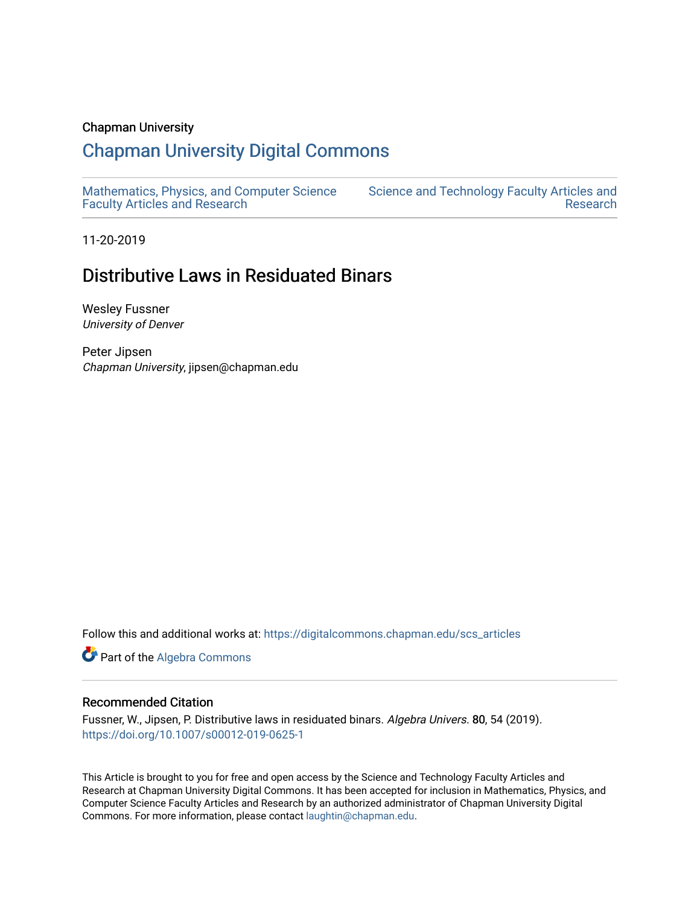## Chapman University

# [Chapman University Digital Commons](https://digitalcommons.chapman.edu/)

[Mathematics, Physics, and Computer Science](https://digitalcommons.chapman.edu/scs_articles)  [Faculty Articles and Research](https://digitalcommons.chapman.edu/scs_articles)

[Science and Technology Faculty Articles and](https://digitalcommons.chapman.edu/science_articles)  [Research](https://digitalcommons.chapman.edu/science_articles) 

11-20-2019

# Distributive Laws in Residuated Binars

Wesley Fussner University of Denver

Peter Jipsen Chapman University, jipsen@chapman.edu

Follow this and additional works at: [https://digitalcommons.chapman.edu/scs\\_articles](https://digitalcommons.chapman.edu/scs_articles?utm_source=digitalcommons.chapman.edu%2Fscs_articles%2F666&utm_medium=PDF&utm_campaign=PDFCoverPages) 

Part of the [Algebra Commons](http://network.bepress.com/hgg/discipline/175?utm_source=digitalcommons.chapman.edu%2Fscs_articles%2F666&utm_medium=PDF&utm_campaign=PDFCoverPages) 

### Recommended Citation

Fussner, W., Jipsen, P. Distributive laws in residuated binars. Algebra Univers. 80, 54 (2019). <https://doi.org/10.1007/s00012-019-0625-1>

This Article is brought to you for free and open access by the Science and Technology Faculty Articles and Research at Chapman University Digital Commons. It has been accepted for inclusion in Mathematics, Physics, and Computer Science Faculty Articles and Research by an authorized administrator of Chapman University Digital Commons. For more information, please contact [laughtin@chapman.edu.](mailto:laughtin@chapman.edu)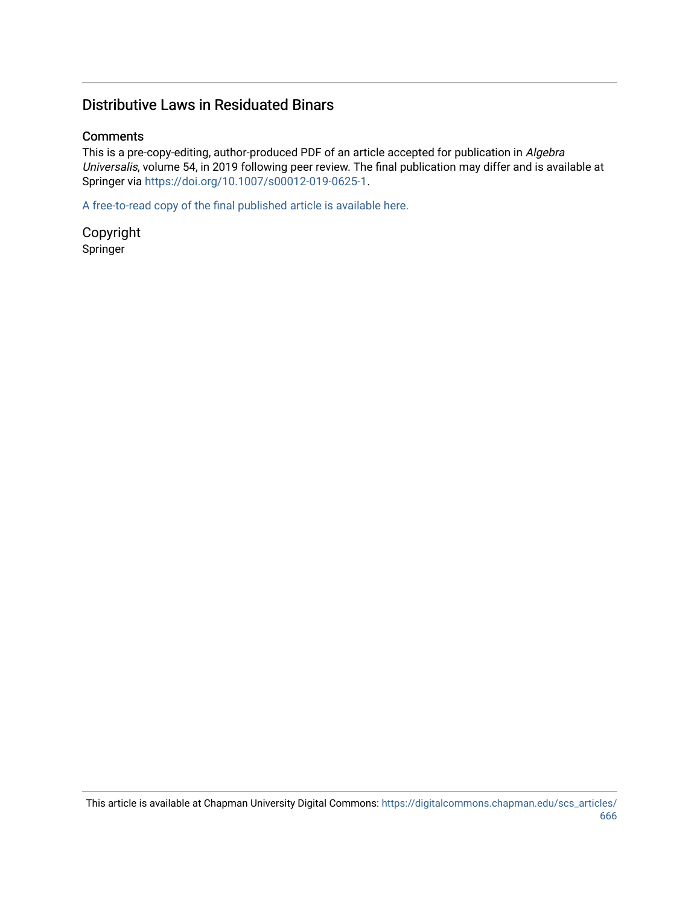# Distributive Laws in Residuated Binars

# **Comments**

This is a pre-copy-editing, author-produced PDF of an article accepted for publication in Algebra Universalis, volume 54, in 2019 following peer review. The final publication may differ and is available at Springer via <https://doi.org/10.1007/s00012-019-0625-1>.

[A free-to-read copy of the final published article is available here.](https://rdcu.be/b5K8Z) 

Copyright Springer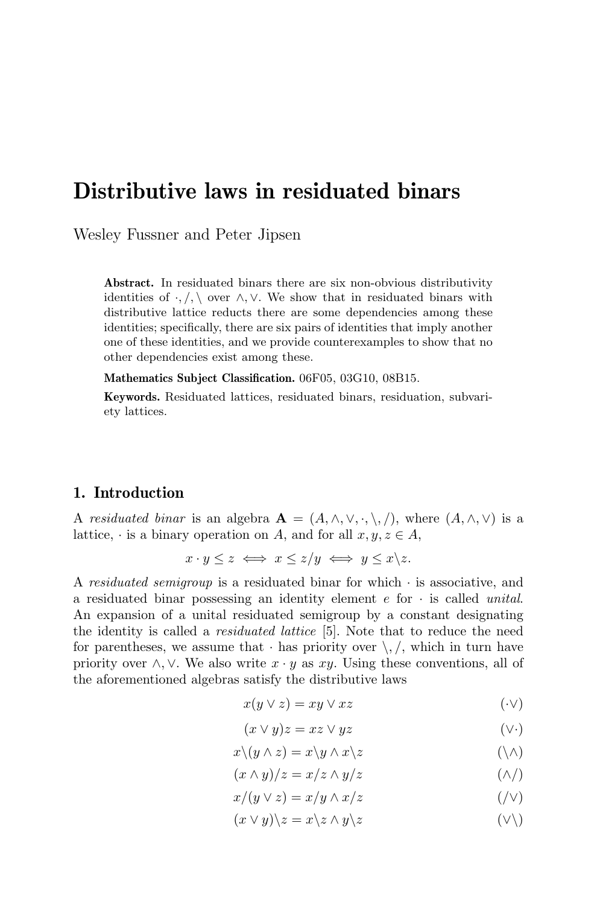# Distributive laws in residuated binars

Wesley Fussner and Peter Jipsen

Abstract. In residuated binars there are six non-obvious distributivity identities of  $\cdot$ ,  $\wedge$  over  $\wedge$ ,  $\vee$ . We show that in residuated binars with distributive lattice reducts there are some dependencies among these identities; specifically, there are six pairs of identities that imply another one of these identities, and we provide counterexamples to show that no other dependencies exist among these.

Mathematics Subject Classification. 06F05, 03G10, 08B15.

Keywords. Residuated lattices, residuated binars, residuation, subvariety lattices.

## 1. Introduction

A residuated binar is an algebra  $\mathbf{A} = (A, \wedge, \vee, \cdot, \setminus, \cdot)$ , where  $(A, \wedge, \vee)$  is a lattice,  $\cdot$  is a binary operation on A, and for all  $x, y, z \in A$ ,

$$
x \cdot y \leq z \iff x \leq z/y \iff y \leq x \backslash z.
$$

A residuated semigroup is a residuated binar for which  $\cdot$  is associative, and a residuated binar possessing an identity element  $e$  for  $\cdot$  is called *unital*. An expansion of a unital residuated semigroup by a constant designating the identity is called a *residuated lattice* [5]. Note that to reduce the need for parentheses, we assume that  $\cdot$  has priority over  $\setminus$ ,  $\setminus$ , which in turn have priority over  $\land$ ,  $\lor$ . We also write  $x \cdot y$  as  $xy$ . Using these conventions, all of the aforementioned algebras satisfy the distributive laws

$$
x(y \lor z) = xy \lor xz \tag{·}
$$

$$
(x \lor y)z = xz \lor yz \tag{\\\vee\cdot}
$$

$$
x \setminus (y \wedge z) = x \setminus y \wedge x \setminus z \tag{ } \wedge \wedge
$$

$$
(x \wedge y)/z = x/z \wedge y/z \tag{ \wedge } /
$$

$$
x/(y \vee z) = x/y \wedge x/z \tag{}/\vee
$$

$$
(x \lor y) \land z = x \land z \land y \land z \tag{(\lor)}
$$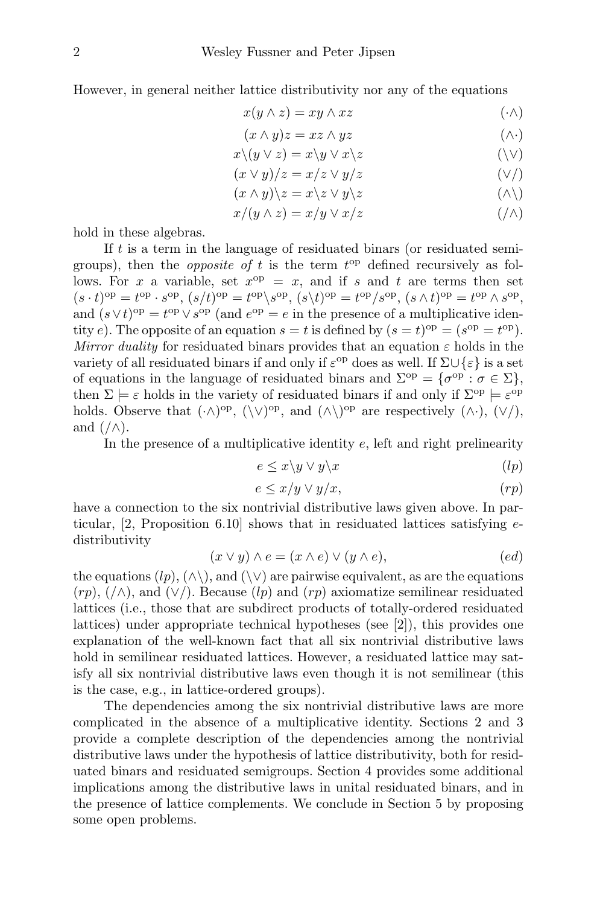However, in general neither lattice distributivity nor any of the equations

$$
x(y \wedge z) = xy \wedge xz \tag{·}
$$

$$
(x \wedge y)z = xz \wedge yz \tag{ \wedge \cdot }
$$

$$
x \setminus (y \vee z) = x \setminus y \vee x \setminus z \tag{(\vee)}
$$

$$
(x \lor y)/z = x/z \lor y/z \tag{V/}
$$

$$
(x \wedge y) \backslash z = x \backslash z \vee y \backslash z \tag{ \wedge } \backslash
$$

$$
x/(y \wedge z) = x/y \vee x/z \tag{}/\wedge
$$

hold in these algebras.

If t is a term in the language of residuated binars (or residuated semigroups), then the *opposite of t* is the term  $t^{\text{op}}$  defined recursively as follows. For x a variable, set  $x^{\text{op}} = x$ , and if s and t are terms then set  $(s \cdot t)$ <sup>op</sup> =  $t^{\text{op}} \cdot s^{\text{op}}, (s/t)^{\text{op}} = t^{\text{op}} \backslash s^{\text{op}}, (s \backslash t)^{\text{op}} = t^{\text{op}} / s^{\text{op}}, (s \wedge t)^{\text{op}} = t^{\text{op}} \wedge s^{\text{op}},$ and  $(s \vee t)$ <sup>op</sup> =  $t^{op} \vee s^{op}$  (and  $e^{op} = e$  in the presence of a multiplicative identity e). The opposite of an equation  $s = t$  is defined by  $(s = t)$ <sup>op</sup> =  $(s^{op} = t^{op})$ . Mirror duality for residuated binars provides that an equation  $\varepsilon$  holds in the variety of all residuated binars if and only if  $\varepsilon^{\rm op}$  does as well. If  $\Sigma \cup \{\varepsilon\}$  is a set of equations in the language of residuated binars and  $\Sigma^{\text{op}} = {\sigma^{\text{op}}} : \sigma \in \Sigma$ , then  $\Sigma \models \varepsilon$  holds in the variety of residuated binars if and only if  $\Sigma^{\text{op}} \models \varepsilon^{\text{op}}$ holds. Observe that  $(\cdot \wedge)^{op}$ ,  $(\vee)^{op}$ , and  $(\wedge \vee)^{op}$  are respectively  $(\wedge \cdot)$ ,  $(\vee')$ , and  $(\wedge)$ .

In the presence of a multiplicative identity  $e$ , left and right prelinearity

$$
e \leq x \backslash y \lor y \backslash x \tag{lp}
$$

$$
e \le x/y \vee y/x, \tag{rp}
$$

have a connection to the six nontrivial distributive laws given above. In particular,  $[2,$  Proposition 6.10 shows that in residuated lattices satisfying  $e$ distributivity

$$
(x \lor y) \land e = (x \land e) \lor (y \land e), \tag{ed}
$$

the equations  $(lp), (\wedge)$ , and  $(\vee)$  are pairwise equivalent, as are the equations  $(rp)$ ,  $(\wedge)$ , and  $(\vee)$ . Because  $(lp)$  and  $(rp)$  axiomatize semilinear residuated lattices (i.e., those that are subdirect products of totally-ordered residuated lattices) under appropriate technical hypotheses (see [2]), this provides one explanation of the well-known fact that all six nontrivial distributive laws hold in semilinear residuated lattices. However, a residuated lattice may satisfy all six nontrivial distributive laws even though it is not semilinear (this is the case, e.g., in lattice-ordered groups).

The dependencies among the six nontrivial distributive laws are more complicated in the absence of a multiplicative identity. Sections 2 and 3 provide a complete description of the dependencies among the nontrivial distributive laws under the hypothesis of lattice distributivity, both for residuated binars and residuated semigroups. Section 4 provides some additional implications among the distributive laws in unital residuated binars, and in the presence of lattice complements. We conclude in Section 5 by proposing some open problems.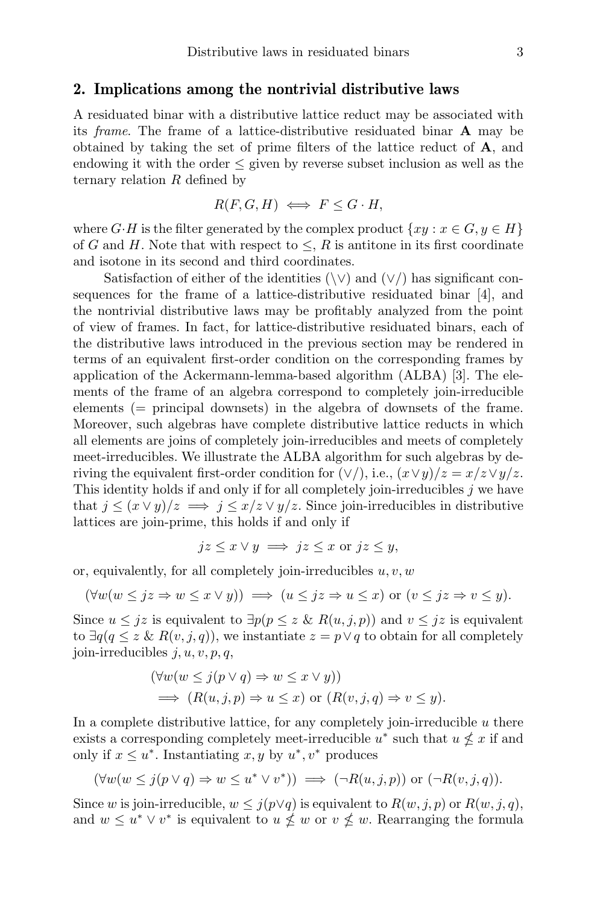#### 2. Implications among the nontrivial distributive laws

A residuated binar with a distributive lattice reduct may be associated with its frame. The frame of a lattice-distributive residuated binar A may be obtained by taking the set of prime filters of the lattice reduct of  $\bf{A}$ , and endowing it with the order  $\leq$  given by reverse subset inclusion as well as the ternary relation  $R$  defined by

$$
R(F, G, H) \iff F \leq G \cdot H,
$$

where  $G \cdot H$  is the filter generated by the complex product  $\{xy : x \in G, y \in H\}$ of G and H. Note that with respect to  $\leq R$  is antitone in its first coordinate and isotone in its second and third coordinates.

Satisfaction of either of the identities  $(\forall \vee)$  and  $(\vee')$  has significant consequences for the frame of a lattice-distributive residuated binar [4], and the nontrivial distributive laws may be profitably analyzed from the point of view of frames. In fact, for lattice-distributive residuated binars, each of the distributive laws introduced in the previous section may be rendered in terms of an equivalent first-order condition on the corresponding frames by application of the Ackermann-lemma-based algorithm (ALBA) [3]. The elements of the frame of an algebra correspond to completely join-irreducible elements (= principal downsets) in the algebra of downsets of the frame. Moreover, such algebras have complete distributive lattice reducts in which all elements are joins of completely join-irreducibles and meets of completely meet-irreducibles. We illustrate the ALBA algorithm for such algebras by deriving the equivalent first-order condition for  $(\vee')$ , i.e.,  $(x \vee y)/z = x/z \vee y/z$ . This identity holds if and only if for all completely join-irreducibles  $j$  we have that  $j \leq (x \vee y)/z \implies j \leq x/z \vee y/z$ . Since join-irreducibles in distributive lattices are join-prime, this holds if and only if

$$
jz \leq x \lor y \implies jz \leq x \text{ or } jz \leq y,
$$

or, equivalently, for all completely join-irreducibles  $u, v, w$ 

$$
(\forall w(w \leq jz \Rightarrow w \leq x \lor y)) \implies (u \leq jz \Rightarrow u \leq x) \text{ or } (v \leq jz \Rightarrow v \leq y).
$$

Since  $u \leq jz$  is equivalent to  $\exists p (p \leq z \& R(u, j, p))$  and  $v \leq jz$  is equivalent to  $\exists q (q \leq z \& R(v, j, q))$ , we instantiate  $z = p \vee q$  to obtain for all completely join-irreducibles  $j, u, v, p, q$ ,

$$
(\forall w(w \le j(p \lor q) \Rightarrow w \le x \lor y))
$$
  
\n
$$
\implies (R(u, j, p) \Rightarrow u \le x) \text{ or } (R(v, j, q) \Rightarrow v \le y).
$$

In a complete distributive lattice, for any completely join-irreducible  $u$  there exists a corresponding completely meet-irreducible  $u^*$  such that  $u \nleq x$  if and only if  $x \leq u^*$ . Instantiating  $x, y$  by  $u^*, v^*$  produces

$$
(\forall w(w \le j(p \lor q) \Rightarrow w \le u^* \lor v^*)) \implies (\neg R(u,j,p)) \text{ or } (\neg R(v,j,q)).
$$

Since w is join-irreducible,  $w \leq j(p \vee q)$  is equivalent to  $R(w, j, p)$  or  $R(w, j, q)$ , and  $w \leq u^* \vee v^*$  is equivalent to  $u \nleq w$  or  $v \nleq w$ . Rearranging the formula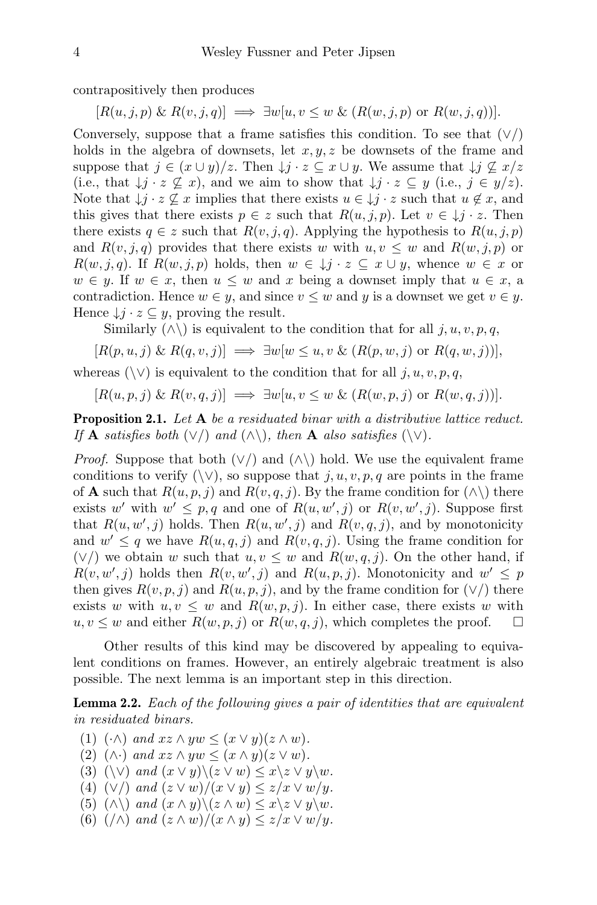contrapositively then produces

 $[R(u, j, p) \& R(v, j, q)] \implies \exists w[u, v \leq w \& (R(w, j, p) \text{ or } R(w, j, q))].$ 

Conversely, suppose that a frame satisfies this condition. To see that  $(\vee)$ holds in the algebra of downsets, let  $x, y, z$  be downsets of the frame and suppose that  $j \in (x \cup y)/z$ . Then  $\downarrow j \cdot z \subseteq x \cup y$ . We assume that  $\downarrow j \nsubseteq x/z$ (i.e., that  $\downarrow j \cdot z \not\subseteq x$ ), and we aim to show that  $\downarrow j \cdot z \subseteq y$  (i.e.,  $j \in y/z$ ). Note that  $\downarrow j \cdot z \not\subseteq x$  implies that there exists  $u \in \downarrow j \cdot z$  such that  $u \notin x$ , and this gives that there exists  $p \in z$  such that  $R(u, j, p)$ . Let  $v \in \mathcal{Y}$   $i \cdot z$ . Then there exists  $q \in z$  such that  $R(v, j, q)$ . Applying the hypothesis to  $R(u, j, p)$ and  $R(v, i, q)$  provides that there exists w with  $u, v \leq w$  and  $R(w, i, p)$  or  $R(w, j, q)$ . If  $R(w, j, p)$  holds, then  $w \in \mathcal{Y} \cup \mathcal{Y} \subseteq \mathcal{X} \cup \mathcal{Y}$ , whence  $w \in \mathcal{X}$  or  $w \in y$ . If  $w \in x$ , then  $u \leq w$  and x being a downset imply that  $u \in x$ , a contradiction. Hence  $w \in y$ , and since  $v \leq w$  and y is a downset we get  $v \in y$ . Hence  $\downarrow j \cdot z \subseteq y$ , proving the result.

Similarly  $(\wedge)$  is equivalent to the condition that for all j, u, v, p, q,

$$
[R(p, u, j) \& R(q, v, j)] \implies \exists w [w \le u, v \& (R(p, w, j) \text{ or } R(q, w, j))],
$$

whereas ( $\setminus \vee$ ) is equivalent to the condition that for all  $j, u, v, p, q$ ,

$$
[R(u, p, j) \& R(v, q, j)] \implies \exists w[u, v \le w \& (R(w, p, j) \text{ or } R(w, q, j))].
$$

**Proposition 2.1.** Let A be a residuated binar with a distributive lattice reduct. If **A** satisfies both  $(\vee)$  and  $(\wedge)$ , then **A** also satisfies  $(\vee)$ .

*Proof.* Suppose that both  $(\vee)$  and  $(\wedge)$  hold. We use the equivalent frame conditions to verify  $(\vee)$ , so suppose that j, u, v, p, q are points in the frame of **A** such that  $R(u, p, j)$  and  $R(v, q, j)$ . By the frame condition for  $(\wedge)$  there exists w' with  $w' \leq p, q$  and one of  $R(u, w', j)$  or  $R(v, w', j)$ . Suppose first that  $R(u, w', j)$  holds. Then  $R(u, w', j)$  and  $R(v, q, j)$ , and by monotonicity and  $w' \leq q$  we have  $R(u, q, j)$  and  $R(v, q, j)$ . Using the frame condition for  $(\vee)$  we obtain w such that  $u, v \leq w$  and  $R(w, q, j)$ . On the other hand, if  $R(v, w', j)$  holds then  $R(v, w', j)$  and  $R(u, p, j)$ . Monotonicity and  $w' \leq p$ then gives  $R(v, p, j)$  and  $R(u, p, j)$ , and by the frame condition for  $(\vee)$  there exists w with  $u, v \leq w$  and  $R(w, p, j)$ . In either case, there exists w with  $u, v \leq w$  and either  $R(w, p, j)$  or  $R(w, q, j)$ , which completes the proof.  $\square$ 

Other results of this kind may be discovered by appealing to equivalent conditions on frames. However, an entirely algebraic treatment is also possible. The next lemma is an important step in this direction.

Lemma 2.2. Each of the following gives a pair of identities that are equivalent in residuated binars.

- (1)  $(\cdot \wedge)$  and  $xz \wedge yw \leq (x \vee y)(z \wedge w)$ .
- (2)  $(\wedge)$  and  $xz \wedge yw \leq (x \wedge y)(z \vee w)$ .
- (3)  $(\vee)$  and  $(x \vee y) \setminus (z \vee w) \leq x \setminus z \vee y \setminus w$ .
- (4)  $(\vee)$  and  $(z \vee w)/(x \vee y) \leq z/x \vee w/y$ .
- (5)  $(\wedge \setminus)$  and  $(x \wedge y) \setminus (z \wedge w) \leq x \setminus z \vee y \setminus w$ .
- (6)  $(\wedge)$  and  $(z \wedge w)/(x \wedge y) \leq z/x \vee w/y$ .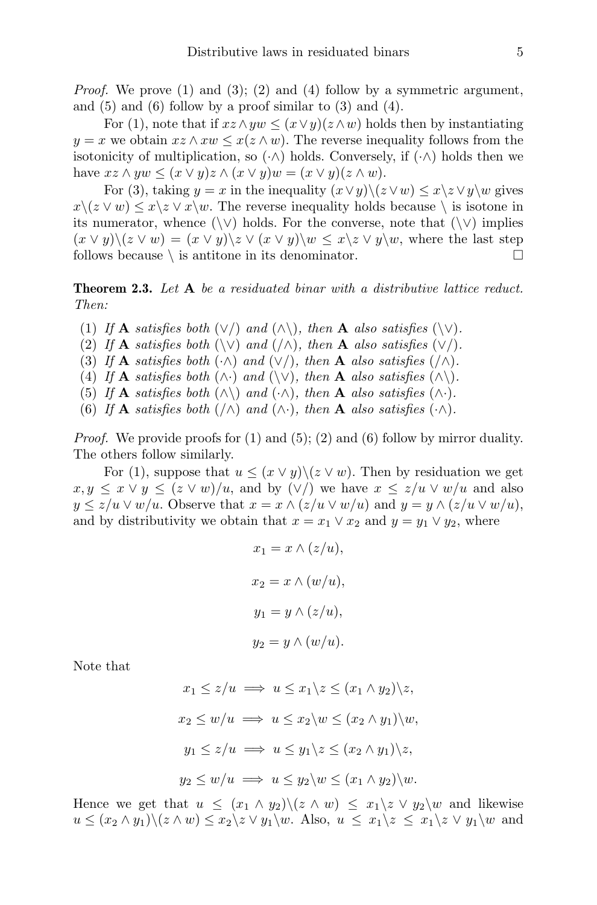*Proof.* We prove (1) and (3); (2) and (4) follow by a symmetric argument, and  $(5)$  and  $(6)$  follow by a proof similar to  $(3)$  and  $(4)$ .

For (1), note that if  $xz \wedge yw \leq (x \vee y)(z \wedge w)$  holds then by instantiating  $y = x$  we obtain  $xz \wedge xw \leq x(z \wedge w)$ . The reverse inequality follows from the isotonicity of multiplication, so  $(\cdot \wedge)$  holds. Conversely, if  $(\cdot \wedge)$  holds then we have  $xz \wedge yw \leq (x \vee y)z \wedge (x \vee y)w = (x \vee y)(z \wedge w).$ 

For (3), taking  $y = x$  in the inequality  $(x \vee y) \setminus (z \vee w) \leq x \setminus z \vee y \setminus w$  gives  $x\,(z \vee w) \leq x\,\&\, v \vee x\,w$ . The reverse inequality holds because  $\setminus$  is isotone in its numerator, whence  $(\setminus \vee)$  holds. For the converse, note that  $(\setminus \vee)$  implies  $(x \vee y) \setminus (z \vee w) = (x \vee y) \setminus z \vee (x \vee y) \setminus w \leq x \setminus z \vee y \setminus w$ , where the last step follows because  $\setminus$  is antitone in its denominator.

**Theorem 2.3.** Let A be a residuated binar with a distributive lattice reduct. Then:

(1) If A satisfies both  $(\vee)$  and  $(\wedge)$ , then A also satisfies  $(\vee)$ .

(2) If **A** satisfies both  $(\vee)$  and  $(\wedge)$ , then **A** also satisfies  $(\vee)$ .

(3) If **A** satisfies both  $(\cdot \wedge)$  and  $(\vee')$ , then **A** also satisfies  $(\wedge \wedge)$ .

- (4) If **A** satisfies both  $(\wedge \cdot)$  and  $(\vee \vee)$ , then **A** also satisfies  $(\wedge \vee)$ .
- (5) If **A** satisfies both  $(\wedge)$  and  $(\wedge)$ , then **A** also satisfies  $(\wedge)$ .
- (6) If **A** satisfies both  $(\wedge)$  and  $(\wedge)$ , then **A** also satisfies  $(\cdot \wedge)$ .

*Proof.* We provide proofs for  $(1)$  and  $(5)$ ;  $(2)$  and  $(6)$  follow by mirror duality. The others follow similarly.

For (1), suppose that  $u \leq (x \vee y) \setminus (z \vee w)$ . Then by residuation we get  $x, y \leq x \vee y \leq (z \vee w)/u$ , and by  $(\vee')$  we have  $x \leq z/u \vee w/u$  and also  $y \le z/u \vee w/u$ . Observe that  $x = x \wedge (z/u \vee w/u)$  and  $y = y \wedge (z/u \vee w/u)$ , and by distributivity we obtain that  $x = x_1 \vee x_2$  and  $y = y_1 \vee y_2$ , where

$$
x_1 = x \wedge (z/u),
$$
  
\n
$$
x_2 = x \wedge (w/u),
$$
  
\n
$$
y_1 = y \wedge (z/u),
$$
  
\n
$$
y_2 = y \wedge (w/u).
$$

Note that

$$
x_1 \le z/u \implies u \le x_1 \backslash z \le (x_1 \land y_2) \backslash z,
$$
  
\n
$$
x_2 \le w/u \implies u \le x_2 \backslash w \le (x_2 \land y_1) \backslash w,
$$
  
\n
$$
y_1 \le z/u \implies u \le y_1 \backslash z \le (x_2 \land y_1) \backslash z,
$$
  
\n
$$
y_2 \le w/u \implies u \le y_2 \backslash w \le (x_1 \land y_2) \backslash w.
$$

Hence we get that  $u \leq (x_1 \wedge y_2) \setminus (z \wedge w) \leq x_1 \setminus z \vee y_2 \setminus w$  and likewise  $u \leq (x_2 \wedge y_1) \setminus (z \wedge w) \leq x_2 \setminus z \vee y_1 \setminus w$ . Also,  $u \leq x_1 \setminus z \leq x_1 \setminus z \vee y_1 \setminus w$  and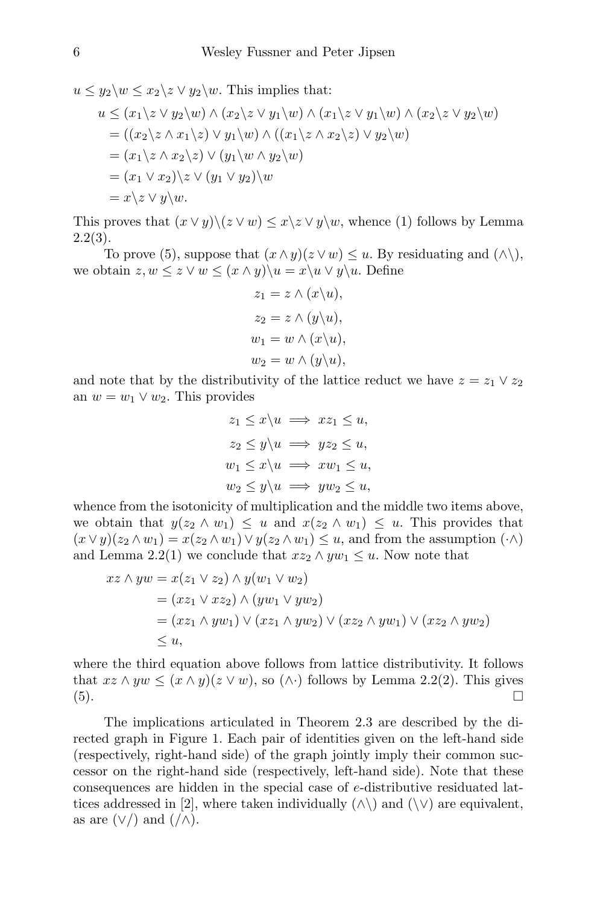$u \leq y_2 \backslash w \leq x_2 \backslash z \vee y_2 \backslash w$ . This implies that:  $u \leq (x_1 \backslash z \lor y_2 \backslash w) \land (x_2 \backslash z \lor y_1 \backslash w) \land (x_1 \backslash z \lor y_1 \backslash w) \land (x_2 \backslash z \lor y_2 \backslash w)$  $= ((x_2\lambda z \wedge x_1\lambda z) \vee y_1\lambda w) \wedge ((x_1\lambda z \wedge x_2\lambda z) \vee y_2\lambda w)$  $=(x_1\zeta\wedge x_2\zeta\zeta)\vee (y_1\zeta\wedge y_2\zeta\zeta\zeta)$  $=(x_1 \vee x_2)\zeta \vee (y_1 \vee y_2)\zeta w$  $= x\overline{\lambda} z \vee y\overline{\lambda} w.$ 

This proves that  $(x \vee y) \setminus (z \vee w) \leq x \setminus z \vee y \setminus w$ , whence (1) follows by Lemma  $2.2(3).$ 

To prove (5), suppose that  $(x \wedge y)(z \vee w) \leq u$ . By residuating and  $(\wedge)$ , we obtain  $z, w \leq z \vee w \leq (x \wedge y) \setminus u = x \setminus u \vee y \setminus u$ . Define

$$
z_1 = z \wedge (x \backslash u),
$$
  
\n
$$
z_2 = z \wedge (y \backslash u),
$$
  
\n
$$
w_1 = w \wedge (x \backslash u),
$$
  
\n
$$
w_2 = w \wedge (y \backslash u),
$$

and note that by the distributivity of the lattice reduct we have  $z = z_1 \vee z_2$ an  $w = w_1 \vee w_2$ . This provides

$$
z_1 \le x \backslash u \implies xz_1 \le u,
$$
  
\n
$$
z_2 \le y \backslash u \implies yz_2 \le u,
$$
  
\n
$$
w_1 \le x \backslash u \implies xw_1 \le u,
$$
  
\n
$$
w_2 \le y \backslash u \implies yw_2 \le u,
$$

whence from the isotonicity of multiplication and the middle two items above, we obtain that  $y(z_2 \wedge w_1) \leq u$  and  $x(z_2 \wedge w_1) \leq u$ . This provides that  $(x \vee y)(z_2 \wedge w_1) = x(z_2 \wedge w_1) \vee y(z_2 \wedge w_1) \leq u$ , and from the assumption  $(\cdot \wedge)$ and Lemma 2.2(1) we conclude that  $xz_2 \wedge yw_1 \leq u$ . Now note that

$$
xz \wedge yw = x(z_1 \vee z_2) \wedge y(w_1 \vee w_2)
$$
  
=  $(xz_1 \vee xz_2) \wedge (yw_1 \vee yw_2)$   
=  $(xz_1 \wedge yw_1) \vee (xz_1 \wedge yw_2) \vee (xz_2 \wedge yw_1) \vee (xz_2 \wedge yw_2)$   
 $\leq u$ ,

where the third equation above follows from lattice distributivity. It follows that  $xz \wedge yw \leq (x \wedge y)(z \vee w)$ , so  $(\wedge \cdot)$  follows by Lemma 2.2(2). This gives (5).

The implications articulated in Theorem 2.3 are described by the directed graph in Figure 1. Each pair of identities given on the left-hand side (respectively, right-hand side) of the graph jointly imply their common successor on the right-hand side (respectively, left-hand side). Note that these consequences are hidden in the special case of e-distributive residuated lattices addressed in [2], where taken individually  $(\wedge)$  and  $(\vee)$  are equivalent, as are  $(\vee')$  and  $(\wedge)$ .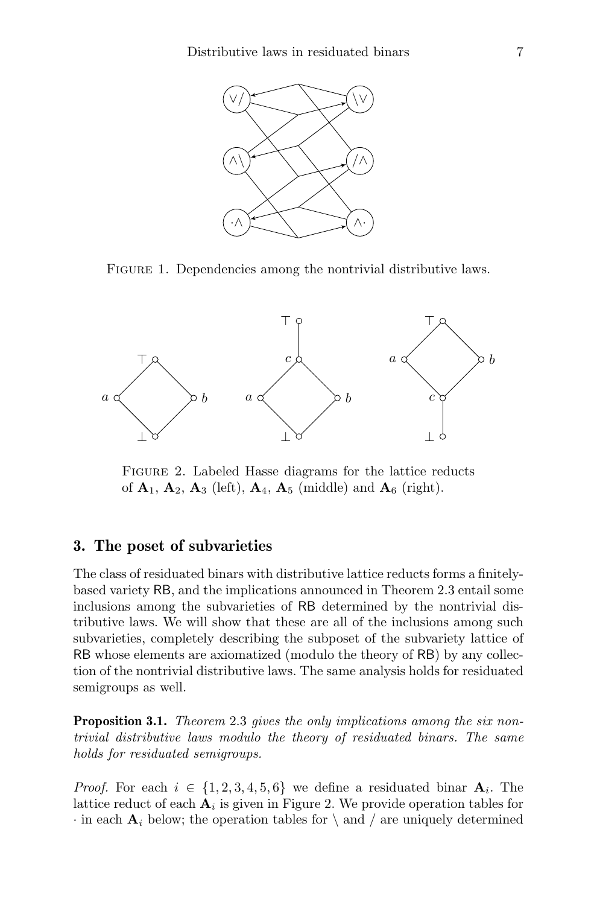

FIGURE 1. Dependencies among the nontrivial distributive laws.



Figure 2. Labeled Hasse diagrams for the lattice reducts of  $\mathbf{A}_1$ ,  $\mathbf{A}_2$ ,  $\mathbf{A}_3$  (left),  $\mathbf{A}_4$ ,  $\mathbf{A}_5$  (middle) and  $\mathbf{A}_6$  (right).

#### 3. The poset of subvarieties

The class of residuated binars with distributive lattice reducts forms a finitelybased variety RB, and the implications announced in Theorem 2.3 entail some inclusions among the subvarieties of RB determined by the nontrivial distributive laws. We will show that these are all of the inclusions among such subvarieties, completely describing the subposet of the subvariety lattice of RB whose elements are axiomatized (modulo the theory of RB) by any collection of the nontrivial distributive laws. The same analysis holds for residuated semigroups as well.

**Proposition 3.1.** Theorem 2.3 gives the only implications among the six nontrivial distributive laws modulo the theory of residuated binars. The same holds for residuated semigroups.

*Proof.* For each  $i \in \{1, 2, 3, 4, 5, 6\}$  we define a residuated binar  $A_i$ . The lattice reduct of each  $A_i$  is given in Figure 2. We provide operation tables for  $\cdot$  in each  $A_i$  below; the operation tables for  $\setminus$  and  $\setminus$  are uniquely determined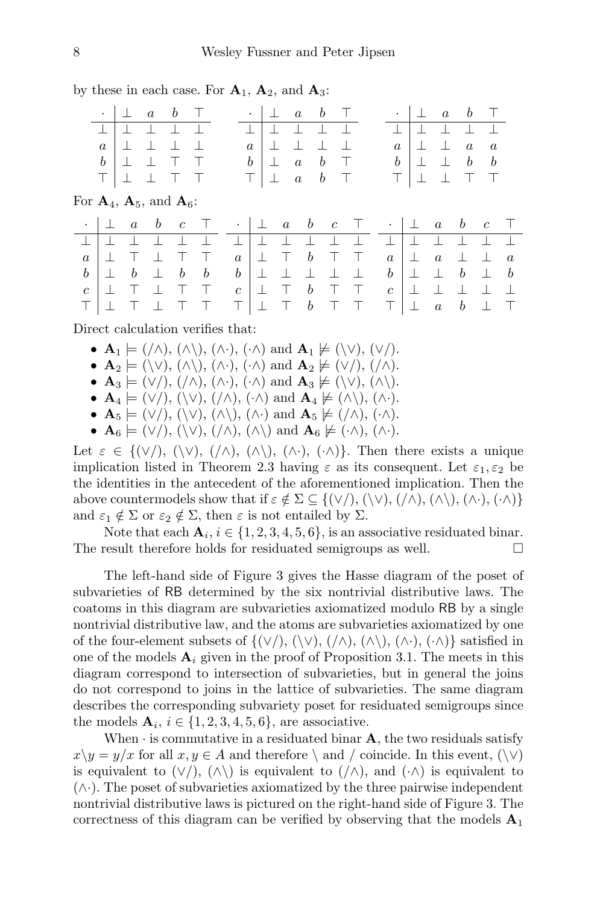by these in each case. For  $A_1$ ,  $A_2$ , and  $A_3$ :

|           | $\bullet$        |                                                            | $a \quad b$      |       |          | $\bullet$          | $\perp$ | $\overline{a}$   | b                |        |  | $\bullet$ .<br><br><br><br> |   |                  | $\perp$ a b                                                                         |                  |                  |
|-----------|------------------|------------------------------------------------------------|------------------|-------|----------|--------------------|---------|------------------|------------------|--------|--|-----------------------------|---|------------------|-------------------------------------------------------------------------------------|------------------|------------------|
|           | 工                |                                                            |                  |       |          |                    |         |                  |                  |        |  |                             |   |                  |                                                                                     |                  |                  |
|           | $\alpha$         |                                                            |                  |       |          | $\alpha$           |         |                  |                  |        |  | $\alpha$                    |   | 丄                | $\boldsymbol{a}$                                                                    | $\boldsymbol{a}$ |                  |
|           | $\boldsymbol{b}$ |                                                            |                  |       |          | b                  |         | $\boldsymbol{a}$ | $\boldsymbol{b}$ | $\top$ |  | $\boldsymbol{b}$            |   | $\perp$          |                                                                                     | $b \quad b$      |                  |
|           | Τ                |                                                            |                  |       |          |                    |         | $\boldsymbol{a}$ | $\boldsymbol{b}$ | $\top$ |  | $\perp$                     | 丄 |                  |                                                                                     |                  |                  |
|           |                  |                                                            |                  |       |          |                    |         |                  |                  |        |  |                             |   |                  |                                                                                     |                  |                  |
|           |                  | For $\mathbf{A}_4$ , $\mathbf{A}_5$ , and $\mathbf{A}_6$ : |                  |       |          |                    |         |                  |                  |        |  |                             |   |                  |                                                                                     |                  |                  |
| $\bullet$ | $\perp$          | $\alpha$                                                   | $\boldsymbol{b}$ | $c$ T |          | $\cdots$ . $\pm$ . |         |                  |                  |        |  |                             |   |                  | $a \quad b \quad c \quad \top \quad . \mid \bot \quad a \quad b \quad c \quad \top$ |                  |                  |
|           |                  |                                                            |                  |       |          |                    |         |                  |                  |        |  |                             |   |                  |                                                                                     |                  |                  |
| $\alpha$  |                  |                                                            |                  |       | $\alpha$ |                    |         |                  | b                |        |  | $\alpha$                    | 工 | $\boldsymbol{a}$ |                                                                                     | $\perp$          | $\boldsymbol{a}$ |

 $c$   $\perp$   $\top$   $b$   $\top$   $\top$  $\top$   $\bot$   $\top$   $b$   $\top$   $\top$ 

c ⊥ ⊥ ⊥ ⊥ ⊥  $\top$   $\bot$  a b  $\bot$  T

Direct calculation verifies that:

 $c$   $\perp$   $\top$   $\perp$   $\top$   $\top$ ד|⊥ ד ⊥ ד ד

- $\mathbf{A}_1 \models (\wedge), (\wedge), (\wedge), (\wedge)$  and  $\mathbf{A}_1 \not\models (\vee), (\vee)$ .
- $\mathbf{A}_2 \models (\setminus \vee), (\wedge \setminus), (\wedge \cdot), (\wedge)$  and  $\mathbf{A}_2 \not\models (\vee \wedge), (\wedge \wedge)$ .
- $\mathbf{A}_3 \models (\vee')$ ,  $(\wedge), (\wedge), (\wedge)$  and  $\mathbf{A}_3 \not\models (\vee), (\wedge).$
- $\mathbf{A}_4 \models (\vee')$ ,  $(\vee), (\wedge), (\wedge)$ , and  $\mathbf{A}_4 \not\models (\wedge \setminus), (\wedge \cdot)$ .
- $\mathbf{A}_5 \models (\vee')$ ,  $(\vee), (\wedge), (\wedge)$ , and  $\mathbf{A}_5 \not\models (\wedge), (\wedge)$ .
- $\mathbf{A}_6 \models (\vee')$ ,  $(\vee)$ ,  $(\wedge)$ ,  $(\wedge)$  and  $\mathbf{A}_6 \not\models (\cdot \wedge)$ ,  $(\wedge \cdot)$ .

Let  $\varepsilon \in \{(\vee), (\vee), (\wedge), (\wedge), (\wedge), (\wedge)\}.$  Then there exists a unique implication listed in Theorem 2.3 having  $\varepsilon$  as its consequent. Let  $\varepsilon_1, \varepsilon_2$  be the identities in the antecedent of the aforementioned implication. Then the above countermodels show that if  $\varepsilon \notin \Sigma \subseteq \{(\vee), (\vee), (\wedge), (\wedge), (\wedge), (\wedge), (\wedge)\}$ and  $\varepsilon_1 \notin \Sigma$  or  $\varepsilon_2 \notin \Sigma$ , then  $\varepsilon$  is not entailed by  $\Sigma$ .

Note that each  $A_i$ ,  $i \in \{1, 2, 3, 4, 5, 6\}$ , is an associative residuated binar. The result therefore holds for residuated semigroups as well.

The left-hand side of Figure 3 gives the Hasse diagram of the poset of subvarieties of RB determined by the six nontrivial distributive laws. The coatoms in this diagram are subvarieties axiomatized modulo RB by a single nontrivial distributive law, and the atoms are subvarieties axiomatized by one of the four-element subsets of  $\{(\vee), (\vee), (\wedge), (\wedge), (\wedge), (\wedge) \}$  satisfied in one of the models  $A_i$  given in the proof of Proposition 3.1. The meets in this diagram correspond to intersection of subvarieties, but in general the joins do not correspond to joins in the lattice of subvarieties. The same diagram describes the corresponding subvariety poset for residuated semigroups since the models  $\mathbf{A}_i$ ,  $i \in \{1, 2, 3, 4, 5, 6\}$ , are associative.

When  $\cdot$  is commutative in a residuated binar **A**, the two residuals satisfy  $x\backslash y = y/x$  for all  $x, y \in A$  and therefore  $\setminus$  and  $\setminus$  coincide. In this event,  $(\setminus \vee)$ is equivalent to  $(\vee')$ ,  $(\wedge)$  is equivalent to  $(\wedge)$ , and  $(\wedge)$  is equivalent to (∧·). The poset of subvarieties axiomatized by the three pairwise independent nontrivial distributive laws is pictured on the right-hand side of Figure 3. The correctness of this diagram can be verified by observing that the models  $A_1$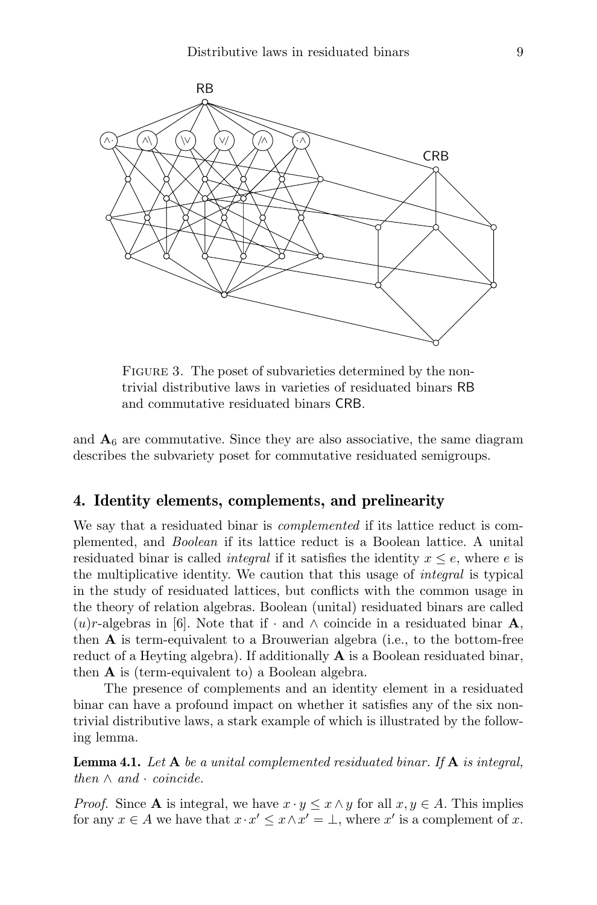

FIGURE 3. The poset of subvarieties determined by the nontrivial distributive laws in varieties of residuated binars RB and commutative residuated binars CRB.

and  $A_6$  are commutative. Since they are also associative, the same diagram describes the subvariety poset for commutative residuated semigroups.

#### 4. Identity elements, complements, and prelinearity

We say that a residuated binar is complemented if its lattice reduct is complemented, and Boolean if its lattice reduct is a Boolean lattice. A unital residuated binar is called *integral* if it satisfies the identity  $x \leq e$ , where e is the multiplicative identity. We caution that this usage of integral is typical in the study of residuated lattices, but conflicts with the common usage in the theory of relation algebras. Boolean (unital) residuated binars are called  $(u)r$ -algebras in [6]. Note that if  $\cdot$  and  $\wedge$  coincide in a residuated binar **A**, then  $\bf{A}$  is term-equivalent to a Brouwerian algebra (i.e., to the bottom-free reduct of a Heyting algebra). If additionally A is a Boolean residuated binar, then A is (term-equivalent to) a Boolean algebra.

The presence of complements and an identity element in a residuated binar can have a profound impact on whether it satisfies any of the six nontrivial distributive laws, a stark example of which is illustrated by the following lemma.

**Lemma 4.1.** Let  $A$  be a unital complemented residuated binar. If  $A$  is integral, then  $\wedge$  and  $\cdot$  coincide.

*Proof.* Since **A** is integral, we have  $x \cdot y \leq x \wedge y$  for all  $x, y \in A$ . This implies for any  $x \in A$  we have that  $x \cdot x' \leq x \wedge x' = \bot$ , where  $x'$  is a complement of x.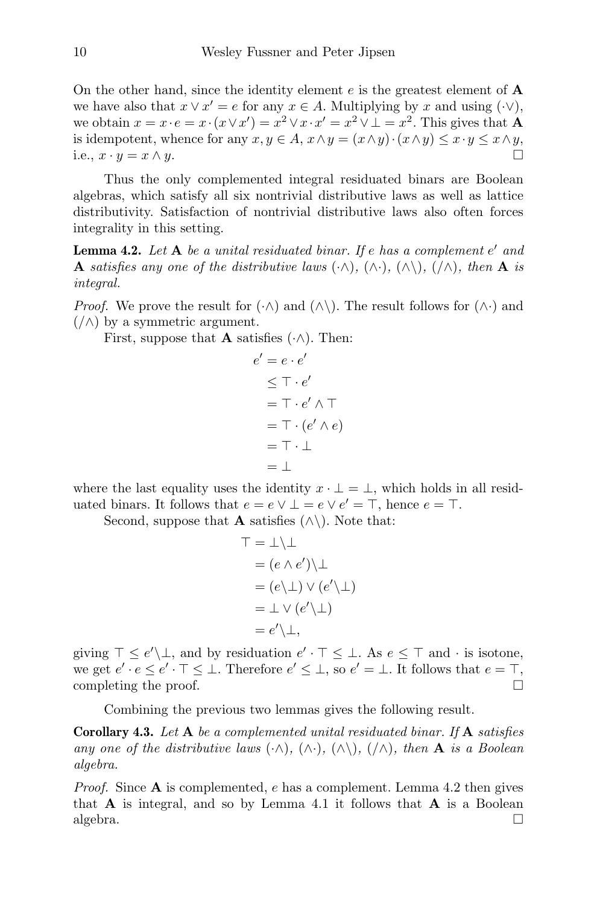On the other hand, since the identity element  $e$  is the greatest element of  $\bf{A}$ we have also that  $x \vee x' = e$  for any  $x \in A$ . Multiplying by x and using  $(\cdot \vee)$ , we obtain  $x = x \cdot e = x \cdot (x \vee x') = x^2 \vee x \cdot x' = x^2 \vee \bot = x^2$ . This gives that **A** is idempotent, whence for any  $x, y \in A$ ,  $x \wedge y = (x \wedge y) \cdot (x \wedge y) \leq x \cdot y \leq x \wedge y$ , i.e.,  $x \cdot y = x \wedge y$ .

Thus the only complemented integral residuated binars are Boolean algebras, which satisfy all six nontrivial distributive laws as well as lattice distributivity. Satisfaction of nontrivial distributive laws also often forces integrality in this setting.

**Lemma 4.2.** Let  $A$  be a unital residuated binar. If e has a complement  $e'$  and **A** satisfies any one of the distributive laws  $(\cdot \wedge), (\wedge \cdot), (\wedge \wedge), (\wedge \wedge),$  then **A** is integral.

*Proof.* We prove the result for  $(\cdot \wedge)$  and  $(\wedge \wedge)$ . The result follows for  $(\wedge \cdot)$  and  $(\wedge)$  by a symmetric argument.

First, suppose that **A** satisfies  $(\cdot \wedge)$ . Then:

$$
e' = e \cdot e'
$$
  
\n
$$
\leq \top \cdot e'
$$
  
\n
$$
= \top \cdot e' \land \top
$$
  
\n
$$
= \top \cdot (e' \land e)
$$
  
\n
$$
= \top \cdot \bot
$$
  
\n
$$
= \bot
$$

where the last equality uses the identity  $x \cdot \bot = \bot$ , which holds in all residuated binars. It follows that  $e = e \vee \bot = e \vee e' = \top$ , hence  $e = \top$ .

Second, suppose that **A** satisfies  $(\wedge)$ . Note that:

$$
\begin{aligned}\n\top &= \bot \setminus \bot \\
&= (e \land e') \setminus \bot \\
&= (e \setminus \bot) \lor (e' \setminus \bot) \\
&= \bot \lor (e' \setminus \bot) \\
&= e' \setminus \bot,\n\end{aligned}
$$

giving  $\top \leq e' \setminus \bot$ , and by residuation  $e' \cdot \top \leq \bot$ . As  $e \leq \top$  and  $\cdot$  is isotone, we get  $e' \cdot e \leq e' \cdot \top \leq \bot$ . Therefore  $e' \leq \bot$ , so  $e' = \bot$ . It follows that  $e = \top$ , completing the proof.

Combining the previous two lemmas gives the following result.

**Corollary 4.3.** Let  $A$  be a complemented unital residuated binar. If  $A$  satisfies any one of the distributive laws  $(\cdot \wedge), (\wedge \cdot), (\wedge \wedge), (\wedge \wedge),$  then **A** is a Boolean algebra.

*Proof.* Since  $A$  is complemented,  $e$  has a complement. Lemma 4.2 then gives that  $\bf{A}$  is integral, and so by Lemma 4.1 it follows that  $\bf{A}$  is a Boolean algebra.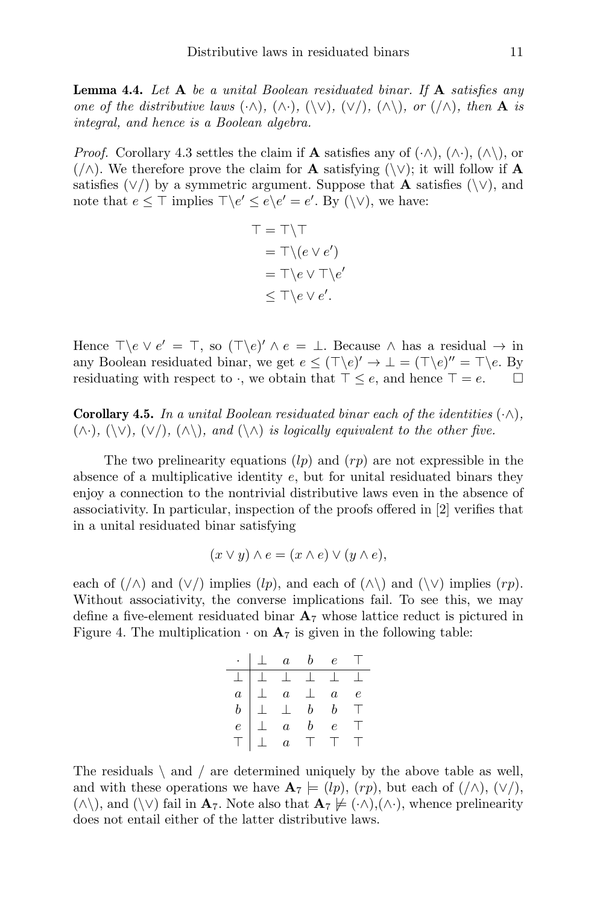**Lemma 4.4.** Let  $A$  be a unital Boolean residuated binar. If  $A$  satisfies any one of the distributive laws  $(\cdot \wedge), (\wedge \cdot), (\vee), (\vee \wedge), \wedge \wedge)$ , or  $(\wedge),$  then **A** is integral, and hence is a Boolean algebra.

*Proof.* Corollary 4.3 settles the claim if **A** satisfies any of  $(\cdot \wedge), (\wedge \cdot), (\wedge \cdot)$ , or  $(\wedge)$ . We therefore prove the claim for **A** satisfying  $(\vee)$ ; it will follow if **A** satisfies  $(\vee)$  by a symmetric argument. Suppose that **A** satisfies ( $\vee$ ), and note that  $e \leq \top$  implies  $\top \backslash e' \leq e \backslash e' = e'$ . By  $(\setminus \vee)$ , we have:

$$
\top = \top \setminus \top
$$
  
=  $\top \setminus (e \vee e')$   
=  $\top \setminus e \vee \top \setminus e'$   
 $\leq \top \setminus e \vee e'.$ 

Hence  $\top \e \vee e' = \top$ , so  $(\top \e)' \wedge e = \bot$ . Because  $\wedge$  has a residual  $\rightarrow$  in any Boolean residuated binar, we get  $e \leq (\top \backslash e)' \to \bot = (\top \backslash e)'' = \top \backslash e$ . By residuating with respect to  $\cdot$ , we obtain that  $\top \leq e$ , and hence  $\top = e$ .  $\Box$ 

**Corollary 4.5.** In a unital Boolean residuated binar each of the identities  $(\cdot \wedge)$ .  $(\wedge \cdot), (\vee), (\vee), (\wedge),$  and  $(\wedge \wedge)$  is logically equivalent to the other five.

The two prelinearity equations  $\langle l_p \rangle$  and  $\langle rp \rangle$  are not expressible in the absence of a multiplicative identity  $e$ , but for unital residuated binars they enjoy a connection to the nontrivial distributive laws even in the absence of associativity. In particular, inspection of the proofs offered in [2] verifies that in a unital residuated binar satisfying

$$
(x \lor y) \land e = (x \land e) \lor (y \land e),
$$

each of  $(\wedge)$  and  $(\vee)$  implies  $(lp)$ , and each of  $(\wedge)$  and  $(\vee)$  implies  $(rp)$ . Without associativity, the converse implications fail. To see this, we may define a five-element residuated binar  $A_7$  whose lattice reduct is pictured in Figure 4. The multiplication  $\cdot$  on  $\mathbf{A}_7$  is given in the following table:

|                  |           |           |                       | $\perp$ a b e T                                                            |         |
|------------------|-----------|-----------|-----------------------|----------------------------------------------------------------------------|---------|
|                  |           |           |                       |                                                                            |         |
| $\overline{a}$   |           |           |                       | $\begin{array}{ c c c c c }\n\hline \ \bot & a & \bot & a & e \end{array}$ |         |
| b                |           | $\perp$   | b                     |                                                                            | -F      |
| $\boldsymbol{e}$ |           | $\perp$ a |                       | $\epsilon$                                                                 | $\perp$ |
| T.               | $\perp$ a |           | $\mathbf{1}^{\prime}$ | $\Box$                                                                     | - 11    |

The residuals  $\langle$  and  $\rangle$  are determined uniquely by the above table as well, and with these operations we have  $\mathbf{A}_7 \models (lp), (rp),$  but each of  $(/\wedge), (\vee/),$  $(\wedge\setminus)$ , and  $(\vee\setminus)$  fail in  $\mathbf{A}_7$ . Note also that  $\mathbf{A}_7 \not\models (\wedge\wedge),(\wedge\cdot)$ , whence prelinearity does not entail either of the latter distributive laws.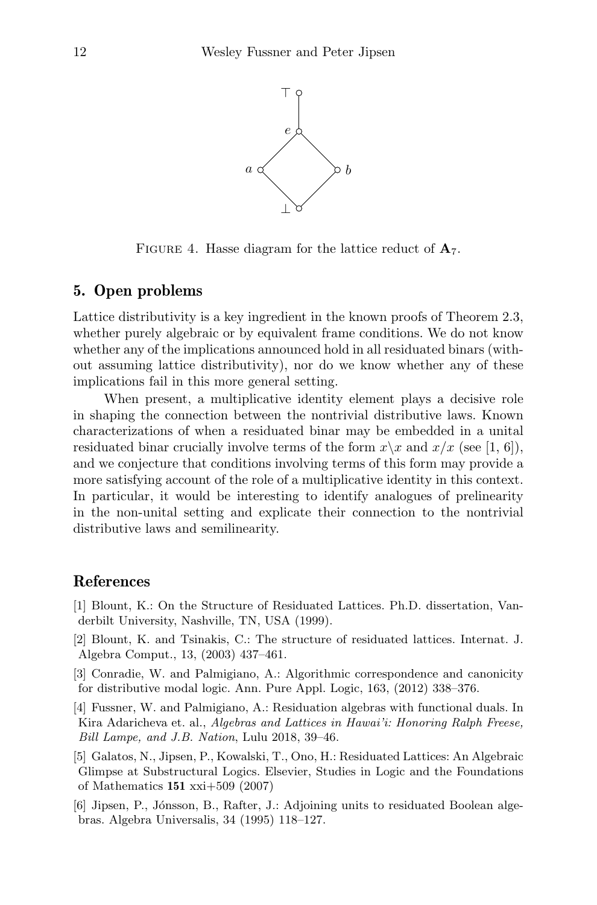

FIGURE 4. Hasse diagram for the lattice reduct of  $A_7$ .

### 5. Open problems

Lattice distributivity is a key ingredient in the known proofs of Theorem 2.3, whether purely algebraic or by equivalent frame conditions. We do not know whether any of the implications announced hold in all residuated binars (without assuming lattice distributivity), nor do we know whether any of these implications fail in this more general setting.

When present, a multiplicative identity element plays a decisive role in shaping the connection between the nontrivial distributive laws. Known characterizations of when a residuated binar may be embedded in a unital residuated binar crucially involve terms of the form  $x\$  and  $x/x$  (see [1, 6]), and we conjecture that conditions involving terms of this form may provide a more satisfying account of the role of a multiplicative identity in this context. In particular, it would be interesting to identify analogues of prelinearity in the non-unital setting and explicate their connection to the nontrivial distributive laws and semilinearity.

### References

- [1] Blount, K.: On the Structure of Residuated Lattices. Ph.D. dissertation, Vanderbilt University, Nashville, TN, USA (1999).
- [2] Blount, K. and Tsinakis, C.: The structure of residuated lattices. Internat. J. Algebra Comput., 13, (2003) 437–461.
- [3] Conradie, W. and Palmigiano, A.: Algorithmic correspondence and canonicity for distributive modal logic. Ann. Pure Appl. Logic, 163, (2012) 338–376.
- [4] Fussner, W. and Palmigiano, A.: Residuation algebras with functional duals. In Kira Adaricheva et. al., Algebras and Lattices in Hawai'i: Honoring Ralph Freese, Bill Lampe, and J.B. Nation, Lulu 2018, 39–46.
- [5] Galatos, N., Jipsen, P., Kowalski, T., Ono, H.: Residuated Lattices: An Algebraic Glimpse at Substructural Logics. Elsevier, Studies in Logic and the Foundations of Mathematics 151 xxi+509 (2007)
- [6] Jipsen, P., Jónsson, B., Rafter, J.: Adjoining units to residuated Boolean algebras. Algebra Universalis, 34 (1995) 118–127.